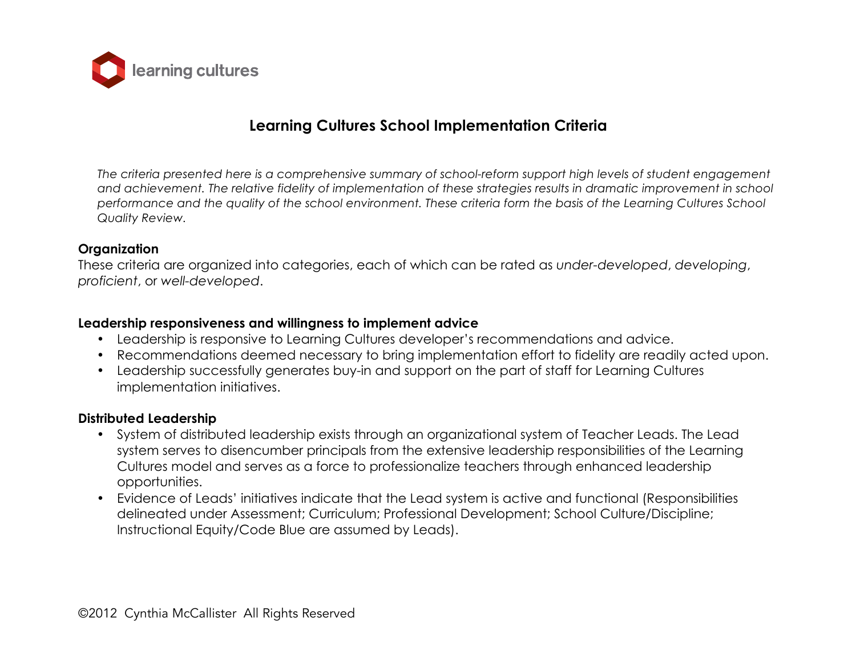

# **Learning Cultures School Implementation Criteria**

*The criteria presented here is a comprehensive summary of school-reform support high levels of student engagement*  and achievement. The relative fidelity of implementation of these strategies results in dramatic improvement in school *performance and the quality of the school environment. These criteria form the basis of the Learning Cultures School Quality Review.* 

#### **Organization**

These criteria are organized into categories, each of which can be rated as *under-developed*, *developing*, *proficient*, or *well-developed*.

#### **Leadership responsiveness and willingness to implement advice**

- Leadership is responsive to Learning Cultures developer's recommendations and advice.
- Recommendations deemed necessary to bring implementation effort to fidelity are readily acted upon.
- Leadership successfully generates buy-in and support on the part of staff for Learning Cultures implementation initiatives.

### **Distributed Leadership**

- System of distributed leadership exists through an organizational system of Teacher Leads. The Lead system serves to disencumber principals from the extensive leadership responsibilities of the Learning Cultures model and serves as a force to professionalize teachers through enhanced leadership opportunities.
- Evidence of Leads' initiatives indicate that the Lead system is active and functional (Responsibilities delineated under Assessment; Curriculum; Professional Development; School Culture/Discipline; Instructional Equity/Code Blue are assumed by Leads).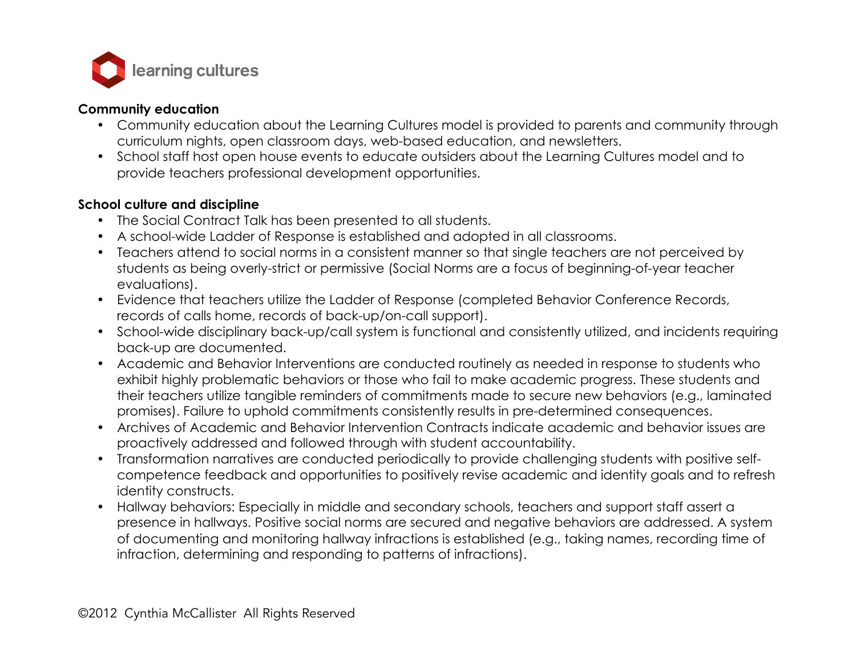

### **Community education**

- Community education about the Learning Cultures model is provided to parents and community through curriculum nights, open classroom days, web-based education, and newsletters.
- School staff host open house events to educate outsiders about the Learning Cultures model and to provide teachers professional development opportunities.

## **School culture and discipline**

- The Social Contract Talk has been presented to all students.
- A school-wide Ladder of Response is established and adopted in all classrooms.
- Teachers attend to social norms in a consistent manner so that single teachers are not perceived by students as being overly-strict or permissive (Social Norms are a focus of beginning-of-year teacher evaluations).
- Evidence that teachers utilize the Ladder of Response (completed Behavior Conference Records, records of calls home, records of back-up/on-call support).
- School-wide disciplinary back-up/call system is functional and consistently utilized, and incidents requiring back-up are documented.
- Academic and Behavior Interventions are conducted routinely as needed in response to students who exhibit highly problematic behaviors or those who fail to make academic progress. These students and their teachers utilize tangible reminders of commitments made to secure new behaviors (e.g., laminated promises). Failure to uphold commitments consistently results in pre-determined consequences.
- Archives of Academic and Behavior Intervention Contracts indicate academic and behavior issues are proactively addressed and followed through with student accountability.
- Transformation narratives are conducted periodically to provide challenging students with positive selfcompetence feedback and opportunities to positively revise academic and identity goals and to refresh identity constructs.
- Hallway behaviors: Especially in middle and secondary schools, teachers and support staff assert a presence in hallways. Positive social norms are secured and negative behaviors are addressed. A system of documenting and monitoring hallway infractions is established (e.g., taking names, recording time of infraction, determining and responding to patterns of infractions).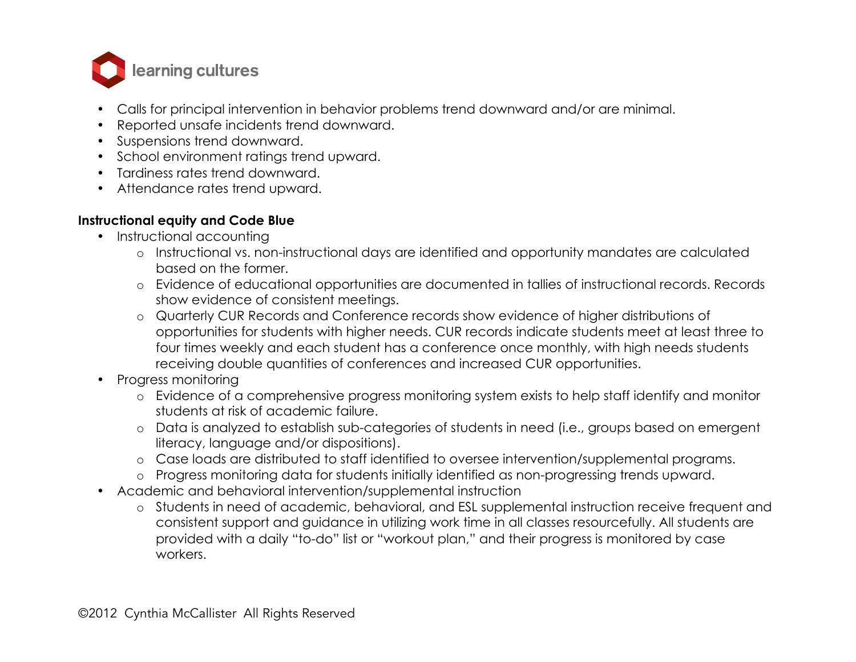

- Calls for principal intervention in behavior problems trend downward and/or are minimal.
- Reported unsafe incidents trend downward.
- Suspensions trend downward.
- School environment ratings trend upward.
- Tardiness rates trend downward.
- Attendance rates trend upward.

## **Instructional equity and Code Blue**

- Instructional accounting
	- o Instructional vs. non-instructional days are identified and opportunity mandates are calculated based on the former.
	- o Evidence of educational opportunities are documented in tallies of instructional records. Records show evidence of consistent meetings.
	- o Quarterly CUR Records and Conference records show evidence of higher distributions of opportunities for students with higher needs. CUR records indicate students meet at least three to four times weekly and each student has a conference once monthly, with high needs students receiving double quantities of conferences and increased CUR opportunities.
- Progress monitoring
	- o Evidence of a comprehensive progress monitoring system exists to help staff identify and monitor students at risk of academic failure.
	- o Data is analyzed to establish sub-categories of students in need (i.e., groups based on emergent literacy, language and/or dispositions).
	- o Case loads are distributed to staff identified to oversee intervention/supplemental programs.
	- o Progress monitoring data for students initially identified as non-progressing trends upward.
- Academic and behavioral intervention/supplemental instruction
	- o Students in need of academic, behavioral, and ESL supplemental instruction receive frequent and consistent support and guidance in utilizing work time in all classes resourcefully. All students are provided with a daily "to-do" list or "workout plan," and their progress is monitored by case workers.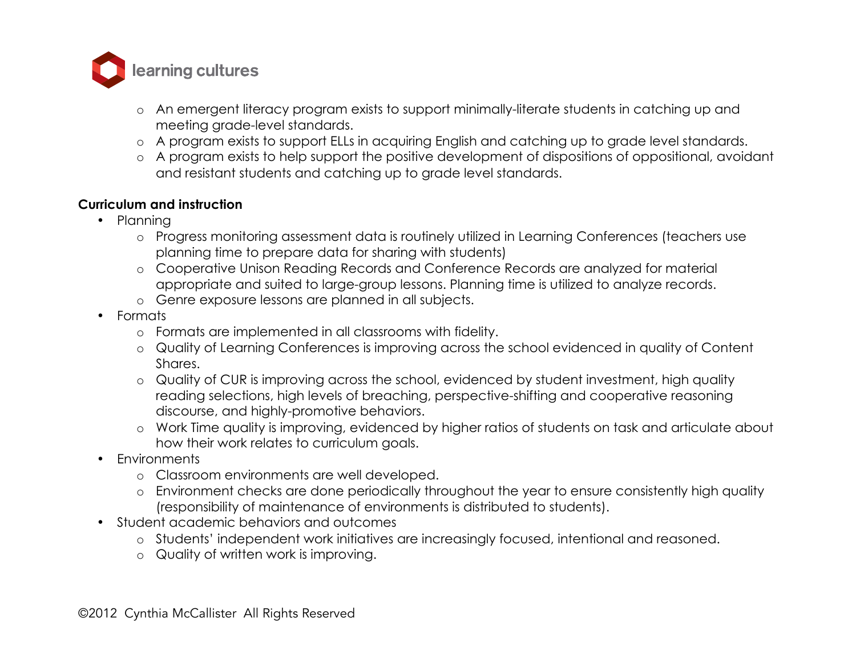

- o An emergent literacy program exists to support minimally-literate students in catching up and meeting grade-level standards.
- o A program exists to support ELLs in acquiring English and catching up to grade level standards.
- o A program exists to help support the positive development of dispositions of oppositional, avoidant and resistant students and catching up to grade level standards.

### **Curriculum and instruction**

- Planning
	- o Progress monitoring assessment data is routinely utilized in Learning Conferences (teachers use planning time to prepare data for sharing with students)
	- o Cooperative Unison Reading Records and Conference Records are analyzed for material appropriate and suited to large-group lessons. Planning time is utilized to analyze records.
	- o Genre exposure lessons are planned in all subjects.
- Formats
	- o Formats are implemented in all classrooms with fidelity.
	- o Quality of Learning Conferences is improving across the school evidenced in quality of Content Shares.
	- o Quality of CUR is improving across the school, evidenced by student investment, high quality reading selections, high levels of breaching, perspective-shifting and cooperative reasoning discourse, and highly-promotive behaviors.
	- o Work Time quality is improving, evidenced by higher ratios of students on task and articulate about how their work relates to curriculum goals.
- Environments
	- o Classroom environments are well developed.
	- o Environment checks are done periodically throughout the year to ensure consistently high quality (responsibility of maintenance of environments is distributed to students).
- Student academic behaviors and outcomes
	- o Students' independent work initiatives are increasingly focused, intentional and reasoned.
	- o Quality of written work is improving.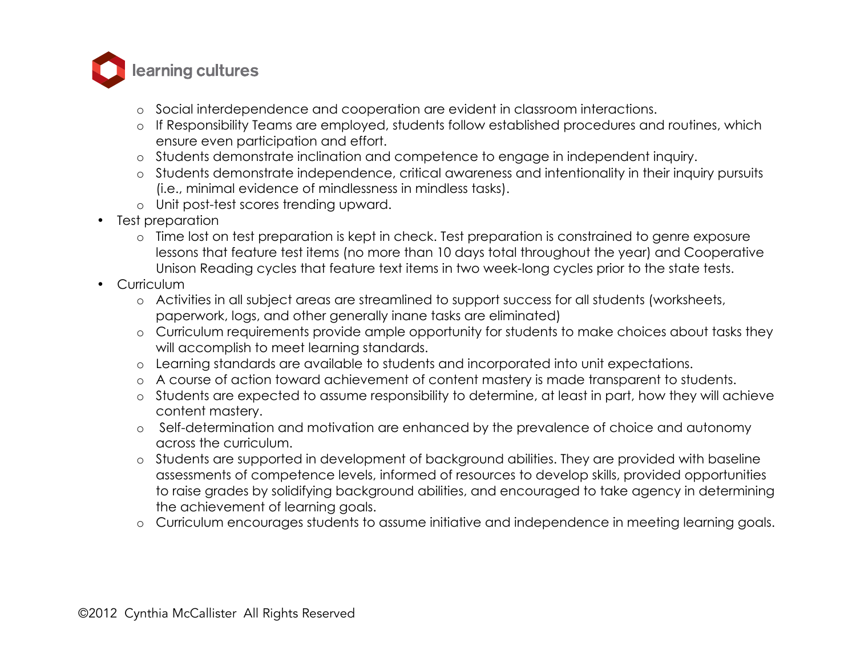

- o Social interdependence and cooperation are evident in classroom interactions.
- o If Responsibility Teams are employed, students follow established procedures and routines, which ensure even participation and effort.
- o Students demonstrate inclination and competence to engage in independent inquiry.
- o Students demonstrate independence, critical awareness and intentionality in their inquiry pursuits (i.e., minimal evidence of mindlessness in mindless tasks).
- o Unit post-test scores trending upward.
- Test preparation
	- o Time lost on test preparation is kept in check. Test preparation is constrained to genre exposure lessons that feature test items (no more than 10 days total throughout the year) and Cooperative Unison Reading cycles that feature text items in two week-long cycles prior to the state tests.
- Curriculum
	- o Activities in all subject areas are streamlined to support success for all students (worksheets, paperwork, logs, and other generally inane tasks are eliminated)
	- o Curriculum requirements provide ample opportunity for students to make choices about tasks they will accomplish to meet learning standards.
	- o Learning standards are available to students and incorporated into unit expectations.
	- o A course of action toward achievement of content mastery is made transparent to students.
	- o Students are expected to assume responsibility to determine, at least in part, how they will achieve content mastery.
	- o Self-determination and motivation are enhanced by the prevalence of choice and autonomy across the curriculum.
	- o Students are supported in development of background abilities. They are provided with baseline assessments of competence levels, informed of resources to develop skills, provided opportunities to raise grades by solidifying background abilities, and encouraged to take agency in determining the achievement of learning goals.
	- o Curriculum encourages students to assume initiative and independence in meeting learning goals.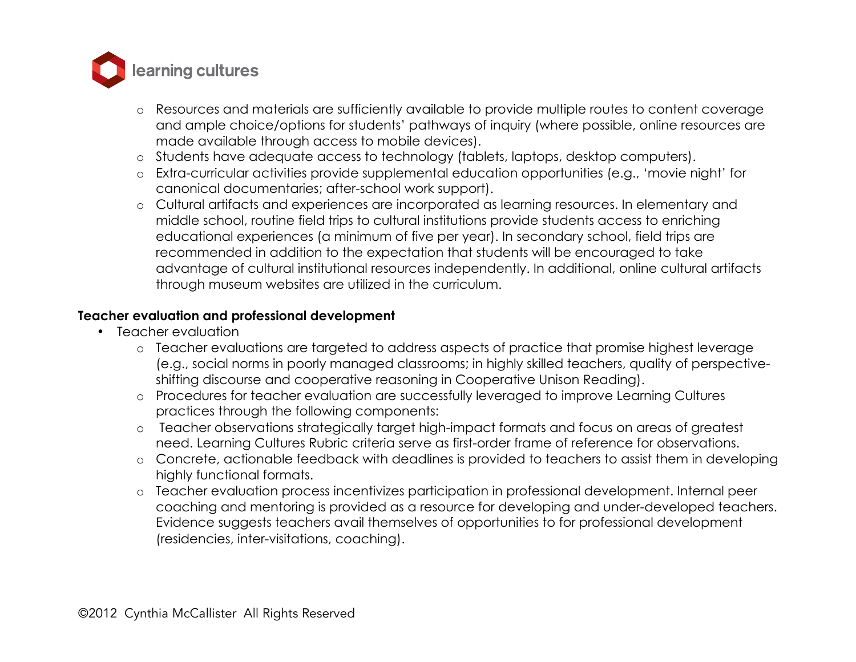

- o Resources and materials are sufficiently available to provide multiple routes to content coverage and ample choice/options for students' pathways of inquiry (where possible, online resources are made available through access to mobile devices).
- o Students have adequate access to technology (tablets, laptops, desktop computers).
- o Extra-curricular activities provide supplemental education opportunities (e.g., 'movie night' for canonical documentaries; after-school work support).
- o Cultural artifacts and experiences are incorporated as learning resources. In elementary and middle school, routine field trips to cultural institutions provide students access to enriching educational experiences (a minimum of five per year). In secondary school, field trips are recommended in addition to the expectation that students will be encouraged to take advantage of cultural institutional resources independently. In additional, online cultural artifacts through museum websites are utilized in the curriculum.

#### **Teacher evaluation and professional development**

- Teacher evaluation
	- o Teacher evaluations are targeted to address aspects of practice that promise highest leverage (e.g., social norms in poorly managed classrooms; in highly skilled teachers, quality of perspectiveshifting discourse and cooperative reasoning in Cooperative Unison Reading).
	- o Procedures for teacher evaluation are successfully leveraged to improve Learning Cultures practices through the following components:
	- o Teacher observations strategically target high-impact formats and focus on areas of greatest need. Learning Cultures Rubric criteria serve as first-order frame of reference for observations.
	- o Concrete, actionable feedback with deadlines is provided to teachers to assist them in developing highly functional formats.
	- o Teacher evaluation process incentivizes participation in professional development. Internal peer coaching and mentoring is provided as a resource for developing and under-developed teachers. Evidence suggests teachers avail themselves of opportunities to for professional development (residencies, inter-visitations, coaching).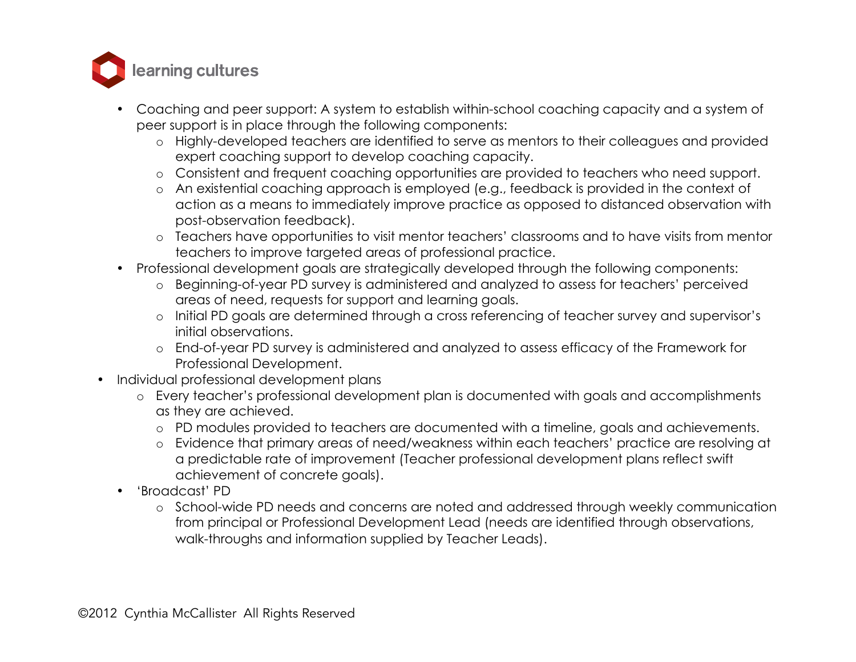

- Coaching and peer support: A system to establish within-school coaching capacity and a system of peer support is in place through the following components:
	- o Highly-developed teachers are identified to serve as mentors to their colleagues and provided expert coaching support to develop coaching capacity.
	- o Consistent and frequent coaching opportunities are provided to teachers who need support.
	- o An existential coaching approach is employed (e.g., feedback is provided in the context of action as a means to immediately improve practice as opposed to distanced observation with post-observation feedback).
	- o Teachers have opportunities to visit mentor teachers' classrooms and to have visits from mentor teachers to improve targeted areas of professional practice.
- Professional development goals are strategically developed through the following components:
	- o Beginning-of-year PD survey is administered and analyzed to assess for teachers' perceived areas of need, requests for support and learning goals.
	- o Initial PD goals are determined through a cross referencing of teacher survey and supervisor's initial observations.
	- o End-of-year PD survey is administered and analyzed to assess efficacy of the Framework for Professional Development.
- Individual professional development plans
	- o Every teacher's professional development plan is documented with goals and accomplishments as they are achieved.
		- o PD modules provided to teachers are documented with a timeline, goals and achievements.
		- o Evidence that primary areas of need/weakness within each teachers' practice are resolving at a predictable rate of improvement (Teacher professional development plans reflect swift achievement of concrete goals).
	- 'Broadcast' PD
		- o School-wide PD needs and concerns are noted and addressed through weekly communication from principal or Professional Development Lead (needs are identified through observations, walk-throughs and information supplied by Teacher Leads).